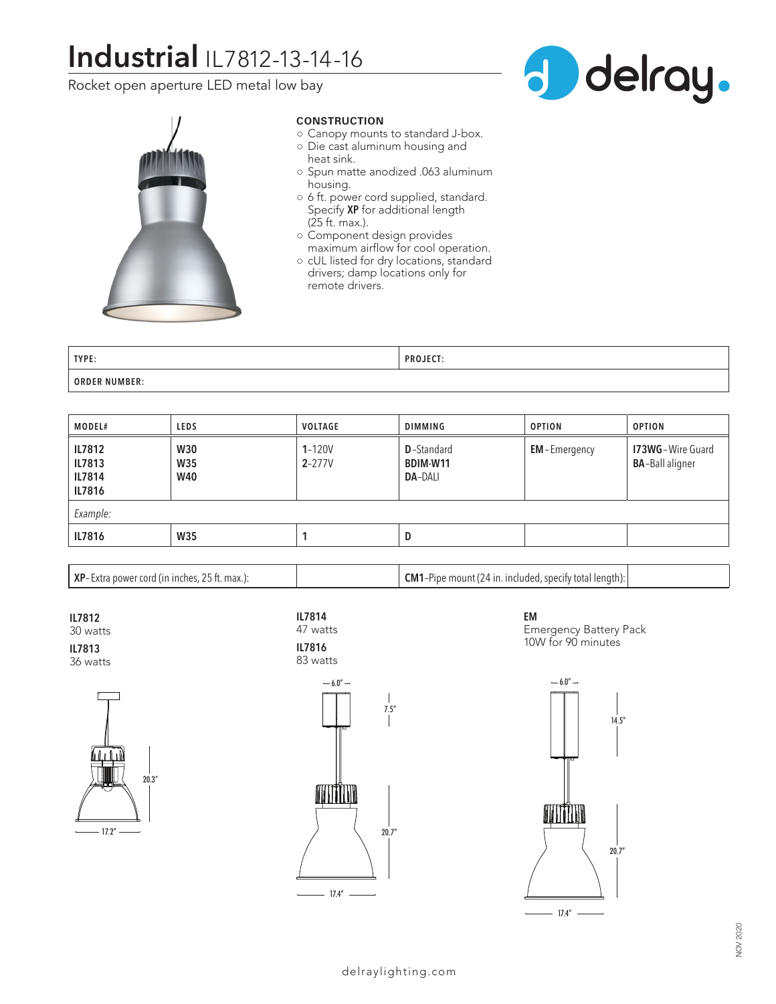# **Industrial** IL7812-13-14-16

Rocket open aperture LED metal low bay





# **CONSTRUCTION**

- Canopy mounts to standard J-box.
- Die cast aluminum housing and heat sink.
- Spun matte anodized .063 aluminum housing.
- 6 ft. power cord supplied, standard. Specify **XP** for additional length (25 ft. max.).
- Component design provides maximum airflow for cool operation.
- cUL listed for dry locations, standard drivers; damp locations only for remote drivers.

| TYPE:            | DDA IECT.<br>. |
|------------------|----------------|
| NUMBER:<br>ORDER |                |

| <b>MODEL#</b>                                      | <b>LEDS</b>                            | VOLTAGE                  | <b>DIMMING</b>                                   | <b>OPTION</b>       | <b>OPTION</b>                                       |  |  |
|----------------------------------------------------|----------------------------------------|--------------------------|--------------------------------------------------|---------------------|-----------------------------------------------------|--|--|
| <b>IL7812</b><br>IL7813<br><b>IL7814</b><br>IL7816 | <b>W30</b><br><b>W35</b><br><b>W40</b> | $1 - 120V$<br>$2 - 277V$ | <b>D</b> -Standard<br>BDIM-W11<br><b>DA-DALI</b> | <b>EM-Emergency</b> | <b>173WG</b> - Wire Guard<br><b>BA-Ball aligner</b> |  |  |
| Example:                                           |                                        |                          |                                                  |                     |                                                     |  |  |
| IL7816                                             | <b>W35</b>                             |                          | D                                                |                     |                                                     |  |  |

**XP**– Extra power cord (in inches, 25 ft. max.): **CM1**–Pipe mount (24 in. included, specify total length):

**IL7812** 30 watts **IL7813**

36 watts









**EM** Emergency Battery Pack 10W for 90 minutes